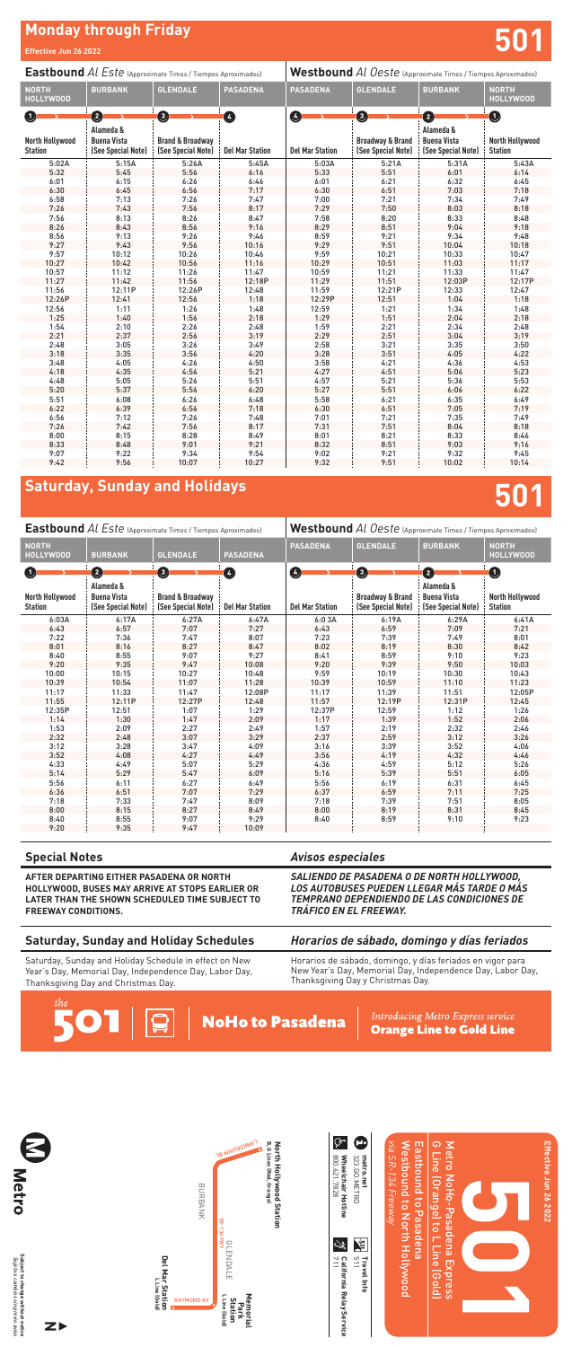# **Monday through Friday**

# **Saturday, Sunday and Holidays**

**501**

# **501**

**Effective Jun 26 2022**

| <b>Eastbound Al Este (Approximate Times / Tiempos Aproximados)</b> |                                                       |                                                   |                        | Westbound Al Oeste (Approximate Times / Tiempos Aproximados) |                                                   |                                                       |                                          |
|--------------------------------------------------------------------|-------------------------------------------------------|---------------------------------------------------|------------------------|--------------------------------------------------------------|---------------------------------------------------|-------------------------------------------------------|------------------------------------------|
| <b>NORTH</b><br><b>HOLLYWOOD</b>                                   | <b>BURBANK</b>                                        | <b>GLENDALE</b>                                   | <b>PASADENA</b>        | <b>PASADENA</b>                                              | <b>GLENDALE</b>                                   | <b>BURBANK</b>                                        | <b>NORTH</b><br><b>HOLLYWOOD</b>         |
| $\bf(1)$                                                           | $\bullet$                                             | $\boldsymbol{\Theta}$                             | ❹                      | Ø                                                            | $\mathbf 0$                                       | 0                                                     | O                                        |
| North Hollywood<br><b>Station</b>                                  | Alameda &<br><b>Buena Vista</b><br>(See Special Note) | <b>Brand &amp; Broadway</b><br>(See Special Note) | <b>Del Mar Station</b> | <b>Del Mar Station</b>                                       | <b>Broadway &amp; Brand</b><br>(See Special Note) | Alameda &<br><b>Buena Vista</b><br>(See Special Note) | <b>North Hollywood</b><br><b>Station</b> |
| 6:03A                                                              | 6:17A                                                 | 6:27A                                             | 6:47A                  | 6:03A                                                        | 6:19A                                             | 6:29A                                                 | 6:41A                                    |
| 6:43                                                               | 6:57                                                  | 7:07                                              | 7:27                   | 6:43                                                         | 6:59                                              | 7:09                                                  | 7:21                                     |
| 7:22                                                               | 7:36                                                  | 7:47                                              | 8:07                   | 7:23                                                         | 7:39                                              | 7:49                                                  | 8:01                                     |
| 8:01                                                               | 8:16                                                  | 8:27                                              | 8:47                   | 8:02                                                         | 8:19                                              | 8:30                                                  | 8:42                                     |
| 8:40                                                               | 8:55                                                  | 9:07                                              | 9:27                   | 8:41                                                         | 8:59                                              | 9:10                                                  | 9:23                                     |
| 9:20                                                               | 9:35                                                  | 9:47                                              | 10:08                  | 9:20                                                         | 9:39                                              | 9:50                                                  | 10:03                                    |
| 10:00                                                              | 10:15                                                 | 10:27                                             | 10:48                  | 9:59                                                         | 10:19                                             | 10:30                                                 | 10:43                                    |
| 10:39                                                              | 10:54                                                 | 11:07                                             | 11:28                  | 10:39                                                        | 10:59                                             | 11:10                                                 | 11:23                                    |
| 11:17                                                              | 11:33                                                 | 11:47                                             | 12:08P                 | 11:17                                                        | 11:39                                             | 11:51                                                 | 12:05P                                   |
| 11:55                                                              | 12:11P                                                | 12:27P                                            | 12:48                  | 11:57                                                        | 12:19P                                            | 12:31P                                                | 12:45                                    |
| 12:35P                                                             | 12:51                                                 | 1:07                                              | 1:29                   | 12:37P                                                       | 12:59                                             | 1:12                                                  | 1:26                                     |
| 1:14                                                               | 1:30                                                  | 1:47                                              | 2:09                   | 1:17                                                         | 1:39                                              | 1:52                                                  | 2:06                                     |
| 1:53                                                               | 2:09                                                  | 2:27                                              | 2:49                   | 1:57                                                         | 2:19                                              | 2:32                                                  | 2:46                                     |
| 2:32                                                               | 2:48                                                  | 3:07                                              | 3:29                   | 2:37                                                         | 2:59                                              | 3:12                                                  | 3:26                                     |
| 3:12                                                               | 3:28                                                  | 3:47                                              | 4:09                   | 3:16                                                         | 3:39                                              | 3:52                                                  | 4:06                                     |
| 3:52                                                               | 4:08                                                  | 4:27                                              | 4:49                   | 3:56                                                         | 4:19                                              | 4:32                                                  | 4:46                                     |
| 4:33                                                               | 4:49                                                  | 5:07                                              | 5:29                   | 4:36                                                         | 4:59                                              | 5:12                                                  | 5:26                                     |
| 5:14                                                               | 5:29                                                  | 5:47                                              | 6:09                   | 5:16                                                         | 5:39                                              | 5:51                                                  | 6:05                                     |
| 5:56                                                               | 6:11                                                  | 6:27                                              | 6:49                   | 5:56                                                         | 6:19                                              | 6:31                                                  | 6:45                                     |
| 6:36                                                               | 6:51                                                  | 7:07                                              | 7:29                   | 6:37                                                         | 6:59                                              | 7:11                                                  | 7:25                                     |
| 7:18                                                               | 7:33                                                  | 7:47                                              | 8:09                   | 7:18                                                         | 7:39                                              | 7:51                                                  | 8:05                                     |
| 8:00                                                               | 8:15                                                  | 8:27                                              | 8:49                   | 8:00                                                         | 8:19                                              | 8:31                                                  | 8:45                                     |
| 8:40                                                               | 8:55                                                  | 9:07                                              | 9:29                   | 8:40                                                         | 8:59                                              | 9:10                                                  | 9:23                                     |
| 9:20                                                               | 9:35                                                  | 9:47                                              | 10:09                  |                                                              |                                                   |                                                       |                                          |

Subject to change without notice<br>Sujeto a cambios sin previo aviso **Subject to change without notice** *Sujeto a cambios sin previo aviso*

ZÞ



| <b>Eastbound Al Este (Approximate Times / Tiempos Aproximados)</b> |                                                            |                                                                   |                             | Westbound Al Oeste (Approximate Times / Tiempos Aproximados) |                                                                  |                                                            |                                                       |
|--------------------------------------------------------------------|------------------------------------------------------------|-------------------------------------------------------------------|-----------------------------|--------------------------------------------------------------|------------------------------------------------------------------|------------------------------------------------------------|-------------------------------------------------------|
| <b>NORTH</b><br><b>HOLLYWOOD</b>                                   | <b>BURBANK</b>                                             | <b>GLENDALE</b>                                                   | <b>PASADENA</b>             | <b>PASADENA</b>                                              | <b>GLENDALE</b>                                                  | <b>BURBANK</b>                                             | <b>NORTH</b><br><b>HOLLYWOOD</b>                      |
| 0<br><b>North Hollywood</b><br><b>Station</b>                      | Ø<br>Alameda &<br><b>Buena Vista</b><br>(See Special Note) | $\mathbf{O}$<br><b>Brand &amp; Broadway</b><br>(See Special Note) | ❹<br><b>Del Mar Station</b> | Ø<br><b>Del Mar Station</b>                                  | $\mathbf 0$<br><b>Broadway &amp; Brand</b><br>(See Special Note) | 2<br>Alameda &<br><b>Buena Vista</b><br>(See Special Note) | $\bullet$<br><b>North Hollywood</b><br><b>Station</b> |
| 5:02A                                                              | 5:15A                                                      | 5:26A                                                             | 5:45A                       | 5:03A                                                        | 5:21A                                                            | 5:31A                                                      | 5:43A                                                 |
| 5:32                                                               | 5:45                                                       | 5:56                                                              | 6:16                        | 5:33                                                         | 5:51                                                             | 6:01                                                       | 6:14                                                  |
| 6:01                                                               | 6:15                                                       | 6:26                                                              | 6:46                        | 6:01                                                         | 6:21                                                             | 6:32                                                       | 6:45                                                  |
| 6:30                                                               | 6:45                                                       | 6:56                                                              | 7:17                        | 6:30                                                         | 6:51                                                             | 7:03                                                       | 7:18                                                  |
| 6:58                                                               | 7:13                                                       | 7:26                                                              | 7:47                        | 7:00                                                         | 7:21                                                             | 7:34                                                       | 7:49                                                  |
| 7:26                                                               | 7:43                                                       | 7:56                                                              | 8:17                        | 7:29                                                         | 7:50                                                             | 8:03                                                       | 8:18                                                  |
| 7:56                                                               | 8:13                                                       | 8:26                                                              | 8:47                        | 7:58                                                         | 8:20                                                             | 8:33                                                       | 8:48                                                  |
| 8:26                                                               | 8:43                                                       | 8:56                                                              | 9:16                        | 8:29                                                         | 8:51                                                             | 9:04                                                       | 9:18                                                  |
| 8:56                                                               | 9:13                                                       | 9:26                                                              | 9:46                        | 8:59                                                         | 9:21                                                             | 9:34                                                       | 9:48                                                  |
| 9:27                                                               | 9:43                                                       | 9:56                                                              | 10:16                       | 9:29                                                         | 9:51                                                             | 10:04                                                      | 10:18                                                 |
| 9:57                                                               | 10:12                                                      | 10:26                                                             | 10:46                       | 9:59                                                         | 10:21                                                            | 10:33                                                      | 10:47                                                 |
| 10:27                                                              | 10:42                                                      | 10:56                                                             | 11:16                       | 10:29                                                        | 10:51                                                            | 11:03                                                      | 11:17                                                 |
| 10:57                                                              | 11:12                                                      | 11:26                                                             | 11:47                       | 10:59                                                        | 11:21                                                            | 11:33                                                      | 11:47                                                 |
| 11:27                                                              | 11:42                                                      | 11:56                                                             | 12:18P                      | 11:29                                                        | 11:51                                                            | 12:03P                                                     | 12:17P                                                |
| 11:56                                                              | 12:11P                                                     | 12:26P                                                            | 12:48                       | 11:59                                                        | 12:21P                                                           | 12:33                                                      | 12:47                                                 |
| 12:26P                                                             | 12:41                                                      | 12:56                                                             | 1:18                        | 12:29P                                                       | 12:51                                                            | 1:04                                                       | 1:18                                                  |
| 12:56                                                              | 1:11                                                       | 1:26                                                              | 1:48                        | 12:59                                                        | 1:21                                                             | 1:34                                                       | 1:48                                                  |
| 1:25                                                               | 1:40                                                       | 1:56                                                              | 2:18                        | 1:29                                                         | 1:51                                                             | 2:04                                                       | 2:18                                                  |
| 1:54                                                               | 2:10                                                       | 2:26                                                              | 2:48                        | 1:59                                                         | 2:21                                                             | 2:34                                                       | 2:48                                                  |
| 2:21                                                               | 2:37                                                       | 2:56                                                              | 3:19                        | 2:29                                                         | 2:51                                                             | 3:04                                                       | 3:19                                                  |
| 2:48                                                               | 3:05                                                       | 3:26                                                              | 3:49                        | 2:58                                                         | 3:21                                                             | 3:35                                                       | 3:50                                                  |
| 3:18                                                               | 3:35                                                       | 3:56                                                              | 4:20                        | 3:28                                                         | 3:51                                                             | 4:05                                                       | 4:22                                                  |
| 3:48                                                               | 4:05                                                       | 4:26                                                              | 4:50                        | 3:58                                                         | 4:21                                                             | 4:36                                                       | 4:53                                                  |
| 4:18                                                               | 4:35                                                       | 4:56                                                              | 5:21                        | 4:27                                                         | 4:51                                                             | 5:06                                                       | 5:23                                                  |
| 4:48                                                               | 5:05                                                       | 5:26                                                              | 5:51                        | 4:57                                                         | 5:21                                                             | 5:36                                                       | 5:53                                                  |
| 5:20                                                               | 5:37                                                       | 5:56                                                              | 6:20                        | 5:27                                                         | 5:51                                                             | 6:06                                                       | 6:22                                                  |
| 5:51                                                               | 6:08                                                       | 6:26                                                              | 6:48                        | 5:58                                                         | 6:21                                                             | 6:35                                                       | 6:49                                                  |
| 6:22                                                               | 6:39                                                       | 6:56                                                              | 7:18                        | 6:30                                                         | 6:51                                                             | 7:05                                                       | 7:19                                                  |
| 6:56                                                               | 7:12                                                       | 7:26                                                              | 7:48                        | 7:01                                                         | 7:21                                                             | 7:35                                                       | 7:49                                                  |
| 7:26                                                               | 7:42                                                       | 7:56                                                              | 8:17                        | 7:31                                                         | 7:51                                                             | 8:04                                                       | 8:18                                                  |
| 8:00                                                               | 8:15                                                       | 8:28                                                              | 8:49                        | 8:01                                                         | 8:21                                                             | 8:33                                                       | 8:46                                                  |
| 8:33                                                               | 8:48                                                       | 9:01                                                              | 9:21                        | 8:32                                                         | 8:51                                                             | 9:03                                                       | 9:16                                                  |
| 9:07                                                               | 9:22                                                       | 9:34                                                              | 9:54                        | 9:02                                                         | 9:21                                                             | 9:32                                                       | 9:45                                                  |
| 9:42                                                               | 9:56                                                       | 10:07                                                             | 10:27                       | 9:32                                                         | 9:51                                                             | 10:02                                                      | 10:14                                                 |

#### *Avisos especiales*

*SALIENDO DE PASADENA O DE NORTH HOLLYWOOD, LOS AUTOBUSES PUEDEN LLEGAR MÁS TARDE O MÁS TEMPRANO DEPENDIENDO DE LAS CONDICIONES DE TRÁFICO EN EL FREEWAY.*

## **Special Notes**

**AFTER DEPARTING EITHER PASADENA OR NORTH HOLLYWOOD, BUSES MAY ARRIVE AT STOPS EARLIER OR LATER THAN THE SHOWN SCHEDULED TIME SUBJECT TO FREEWAY CONDITIONS.**

## *Horarios de sábado, domingo y días feriados* Horarios de sábado, domingo, y días feriados en vigor para

New Year's Day, Memorial Day, Independence Day, Labor Day,

Thanksgiving Day y Christmas Day*.*

## **Saturday, Sunday and Holiday Schedules**

Saturday, Sunday and Holiday Schedule in effect on New Year's Day, Memorial Day, Independence Day, Labor Day, Thanksgiving Day and Christmas Day.





Introducing Metro Express service **Orange Line to Gold Line** 

711

800.621.7828

800.621.7828